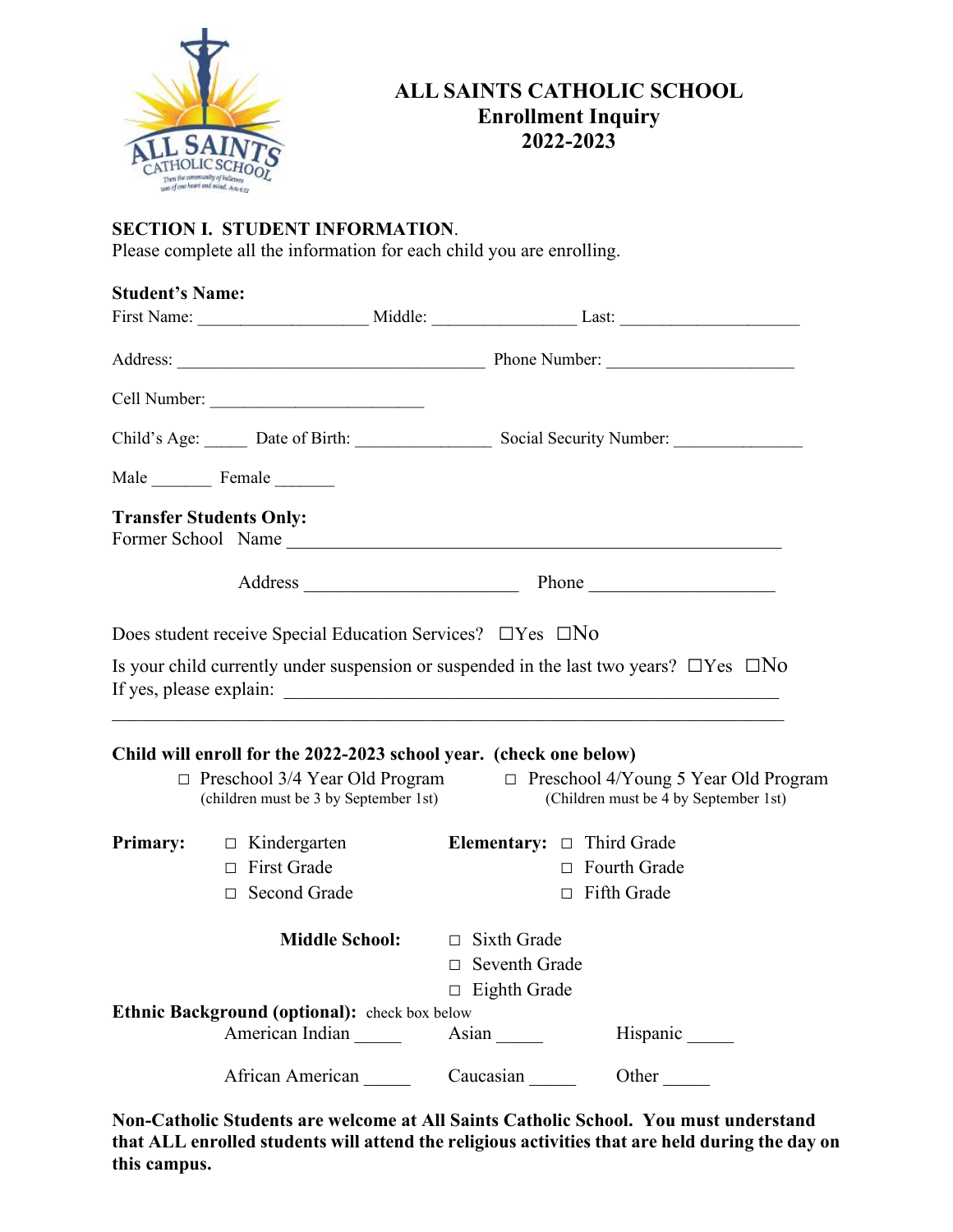

## **ALL SAINTS CATHOLIC SCHOOL Enrollment Inquiry 2022-2023**

## **SECTION I. STUDENT INFORMATION**.

Please complete all the information for each child you are enrolling.

| <b>Student's Name:</b> |                                                                                                                                                                            |                                       |                                                                                                                  |
|------------------------|----------------------------------------------------------------------------------------------------------------------------------------------------------------------------|---------------------------------------|------------------------------------------------------------------------------------------------------------------|
|                        |                                                                                                                                                                            |                                       |                                                                                                                  |
|                        |                                                                                                                                                                            |                                       |                                                                                                                  |
|                        |                                                                                                                                                                            |                                       |                                                                                                                  |
|                        | Child's Age: ______ Date of Birth: ___________________ Social Security Number: ____________________                                                                        |                                       |                                                                                                                  |
|                        | Male Female                                                                                                                                                                |                                       |                                                                                                                  |
|                        | <b>Transfer Students Only:</b><br>Former School Name                                                                                                                       |                                       |                                                                                                                  |
|                        |                                                                                                                                                                            |                                       | Address Phone Phone                                                                                              |
|                        | Does student receive Special Education Services? $\Box$ Yes $\Box$ No<br>Is your child currently under suspension or suspended in the last two years? $\Box$ Yes $\Box$ No |                                       |                                                                                                                  |
|                        | Child will enroll for the 2022-2023 school year. (check one below)<br>(children must be 3 by September 1st)                                                                |                                       | □ Preschool 3/4 Year Old Program □ Preschool 4/Young 5 Year Old Program<br>(Children must be 4 by September 1st) |
|                        | <b>Primary:</b> $\Box$ Kindergarten                                                                                                                                        | <b>Elementary:</b> $\Box$ Third Grade |                                                                                                                  |
|                        | $\Box$ First Grade                                                                                                                                                         |                                       | $\Box$ Fourth Grade                                                                                              |
|                        | □ Second Grade                                                                                                                                                             |                                       | $\Box$ Fifth Grade                                                                                               |
|                        | <b>Middle School:</b>                                                                                                                                                      | $\Box$ Sixth Grade                    |                                                                                                                  |
|                        |                                                                                                                                                                            | $\Box$ Seventh Grade                  |                                                                                                                  |
|                        |                                                                                                                                                                            | $\Box$ Eighth Grade                   |                                                                                                                  |
|                        | Ethnic Background (optional): check box below                                                                                                                              |                                       |                                                                                                                  |
|                        | American Indian                                                                                                                                                            | Asian $\_\_\_\_\_\_\_\$               | Hispanic                                                                                                         |
|                        | African American                                                                                                                                                           | Caucasian                             | Other                                                                                                            |

**Non-Catholic Students are welcome at All Saints Catholic School. You must understand that ALL enrolled students will attend the religious activities that are held during the day on this campus.**